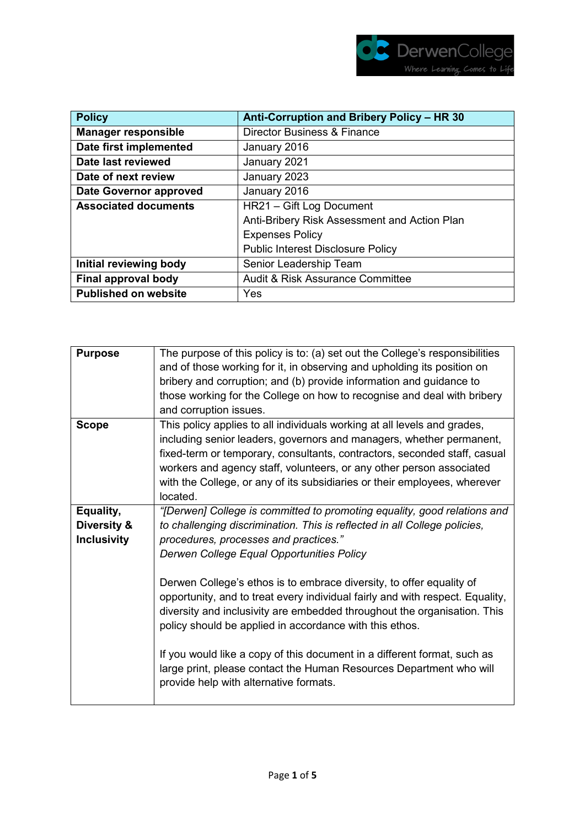

| <b>Policy</b>                 | Anti-Corruption and Bribery Policy - HR 30   |  |  |
|-------------------------------|----------------------------------------------|--|--|
| <b>Manager responsible</b>    | <b>Director Business &amp; Finance</b>       |  |  |
| Date first implemented        | January 2016                                 |  |  |
| Date last reviewed            | January 2021                                 |  |  |
| Date of next review           | January 2023                                 |  |  |
| <b>Date Governor approved</b> | January 2016                                 |  |  |
| <b>Associated documents</b>   | HR21 - Gift Log Document                     |  |  |
|                               | Anti-Bribery Risk Assessment and Action Plan |  |  |
|                               | <b>Expenses Policy</b>                       |  |  |
|                               | <b>Public Interest Disclosure Policy</b>     |  |  |
| Initial reviewing body        | Senior Leadership Team                       |  |  |
| Final approval body           | <b>Audit &amp; Risk Assurance Committee</b>  |  |  |
| <b>Published on website</b>   | Yes                                          |  |  |

| <b>Purpose</b>     | The purpose of this policy is to: (a) set out the College's responsibilities<br>and of those working for it, in observing and upholding its position on<br>bribery and corruption; and (b) provide information and guidance to<br>those working for the College on how to recognise and deal with bribery<br>and corruption issues.                                                            |
|--------------------|------------------------------------------------------------------------------------------------------------------------------------------------------------------------------------------------------------------------------------------------------------------------------------------------------------------------------------------------------------------------------------------------|
| <b>Scope</b>       | This policy applies to all individuals working at all levels and grades,<br>including senior leaders, governors and managers, whether permanent,<br>fixed-term or temporary, consultants, contractors, seconded staff, casual<br>workers and agency staff, volunteers, or any other person associated<br>with the College, or any of its subsidiaries or their employees, wherever<br>located. |
| Equality,          | "[Derwen] College is committed to promoting equality, good relations and                                                                                                                                                                                                                                                                                                                       |
| Diversity &        | to challenging discrimination. This is reflected in all College policies,                                                                                                                                                                                                                                                                                                                      |
|                    |                                                                                                                                                                                                                                                                                                                                                                                                |
| <b>Inclusivity</b> | procedures, processes and practices."                                                                                                                                                                                                                                                                                                                                                          |
|                    | Derwen College Equal Opportunities Policy                                                                                                                                                                                                                                                                                                                                                      |
|                    | Derwen College's ethos is to embrace diversity, to offer equality of<br>opportunity, and to treat every individual fairly and with respect. Equality,<br>diversity and inclusivity are embedded throughout the organisation. This<br>policy should be applied in accordance with this ethos.                                                                                                   |
|                    | If you would like a copy of this document in a different format, such as<br>large print, please contact the Human Resources Department who will<br>provide help with alternative formats.                                                                                                                                                                                                      |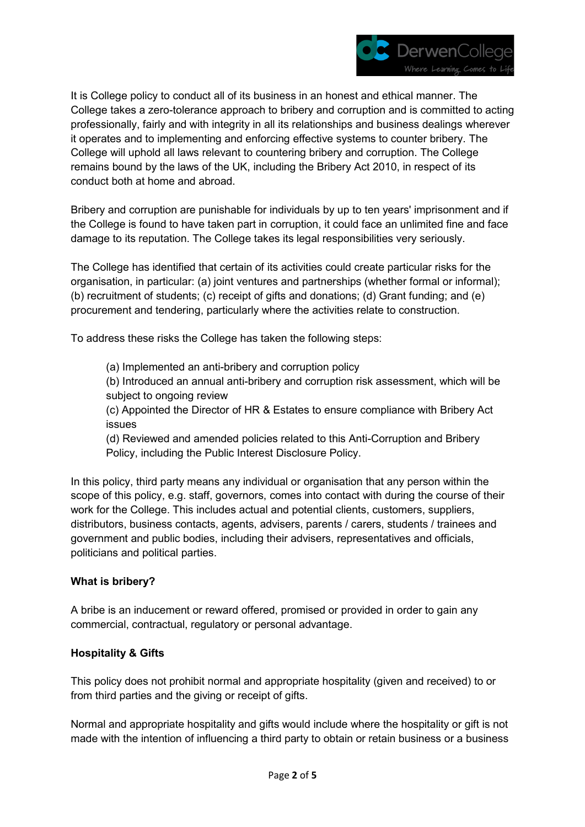

It is College policy to conduct all of its business in an honest and ethical manner. The College takes a zero-tolerance approach to bribery and corruption and is committed to acting professionally, fairly and with integrity in all its relationships and business dealings wherever it operates and to implementing and enforcing effective systems to counter bribery. The College will uphold all laws relevant to countering bribery and corruption. The College remains bound by the laws of the UK, including the Bribery Act 2010, in respect of its conduct both at home and abroad.

Bribery and corruption are punishable for individuals by up to ten years' imprisonment and if the College is found to have taken part in corruption, it could face an unlimited fine and face damage to its reputation. The College takes its legal responsibilities very seriously.

The College has identified that certain of its activities could create particular risks for the organisation, in particular: (a) joint ventures and partnerships (whether formal or informal); (b) recruitment of students; (c) receipt of gifts and donations; (d) Grant funding; and (e) procurement and tendering, particularly where the activities relate to construction.

To address these risks the College has taken the following steps:

(a) Implemented an anti-bribery and corruption policy

(b) Introduced an annual anti-bribery and corruption risk assessment, which will be subject to ongoing review

(c) Appointed the Director of HR & Estates to ensure compliance with Bribery Act issues

(d) Reviewed and amended policies related to this Anti-Corruption and Bribery Policy, including the Public Interest Disclosure Policy.

In this policy, third party means any individual or organisation that any person within the scope of this policy, e.g. staff, governors, comes into contact with during the course of their work for the College. This includes actual and potential clients, customers, suppliers, distributors, business contacts, agents, advisers, parents / carers, students / trainees and government and public bodies, including their advisers, representatives and officials, politicians and political parties.

## **What is bribery?**

A bribe is an inducement or reward offered, promised or provided in order to gain any commercial, contractual, regulatory or personal advantage.

## **Hospitality & Gifts**

This policy does not prohibit normal and appropriate hospitality (given and received) to or from third parties and the giving or receipt of gifts.

Normal and appropriate hospitality and gifts would include where the hospitality or gift is not made with the intention of influencing a third party to obtain or retain business or a business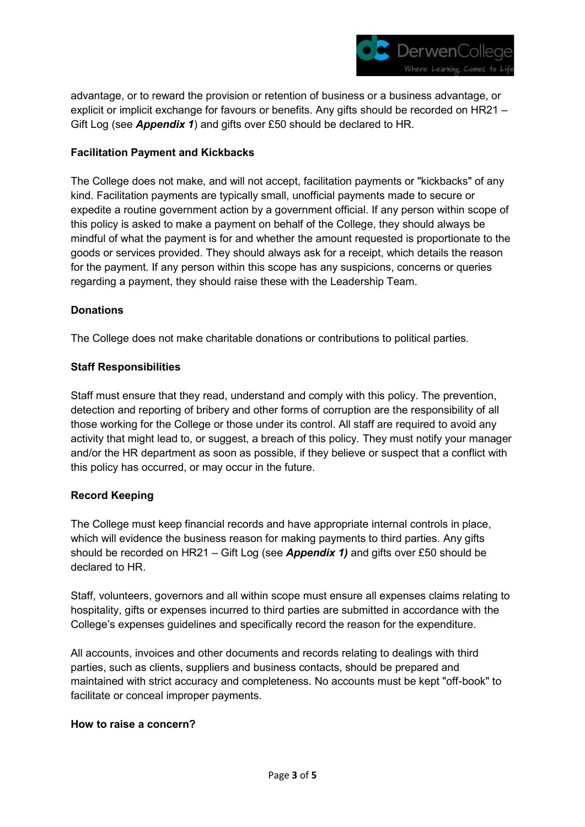

advantage, or to reward the provision or retention of business or a business advantage, or explicit or implicit exchange for favours or benefits. Any gifts should be recorded on HR21 – Gift Log (see *Appendix 1*) and gifts over £50 should be declared to HR.

#### **Facilitation Payment and Kickbacks**

The College does not make, and will not accept, facilitation payments or "kickbacks" of any kind. Facilitation payments are typically small, unofficial payments made to secure or expedite a routine government action by a government official. If any person within scope of this policy is asked to make a payment on behalf of the College, they should always be mindful of what the payment is for and whether the amount requested is proportionate to the goods or services provided. They should always ask for a receipt, which details the reason for the payment. If any person within this scope has any suspicions, concerns or queries regarding a payment, they should raise these with the Leadership Team.

#### **Donations**

The College does not make charitable donations or contributions to political parties.

#### **Staff Responsibilities**

Staff must ensure that they read, understand and comply with this policy. The prevention, detection and reporting of bribery and other forms of corruption are the responsibility of all those working for the College or those under its control. All staff are required to avoid any activity that might lead to, or suggest, a breach of this policy. They must notify your manager and/or the HR department as soon as possible, if they believe or suspect that a conflict with this policy has occurred, or may occur in the future.

## **Record Keeping**

The College must keep financial records and have appropriate internal controls in place, which will evidence the business reason for making payments to third parties. Any gifts should be recorded on HR21 – Gift Log (see *Appendix 1)* and gifts over £50 should be declared to HR.

Staff, volunteers, governors and all within scope must ensure all expenses claims relating to hospitality, gifts or expenses incurred to third parties are submitted in accordance with the College's expenses guidelines and specifically record the reason for the expenditure.

All accounts, invoices and other documents and records relating to dealings with third parties, such as clients, suppliers and business contacts, should be prepared and maintained with strict accuracy and completeness. No accounts must be kept "off-book" to facilitate or conceal improper payments.

#### **How to raise a concern?**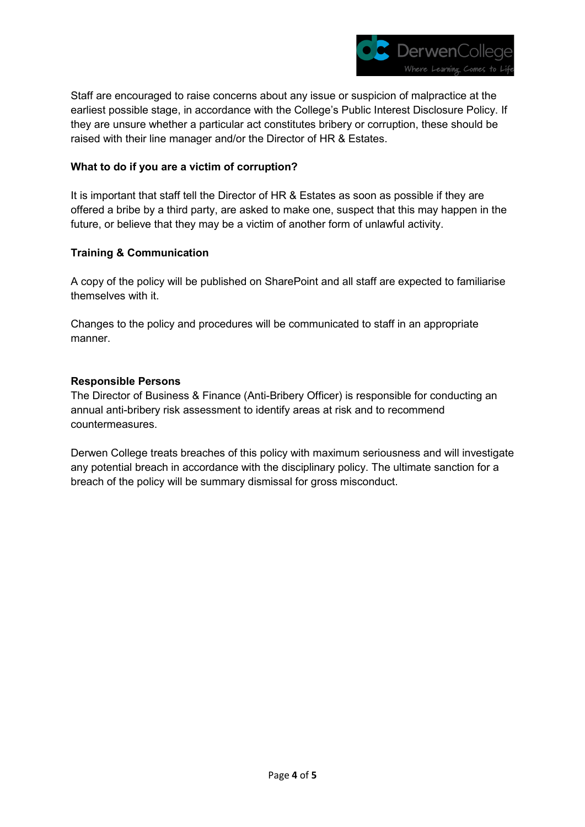

Staff are encouraged to raise concerns about any issue or suspicion of malpractice at the earliest possible stage, in accordance with the College's Public Interest Disclosure Policy. If they are unsure whether a particular act constitutes bribery or corruption, these should be raised with their line manager and/or the Director of HR & Estates.

#### **What to do if you are a victim of corruption?**

It is important that staff tell the Director of HR & Estates as soon as possible if they are offered a bribe by a third party, are asked to make one, suspect that this may happen in the future, or believe that they may be a victim of another form of unlawful activity.

#### **Training & Communication**

A copy of the policy will be published on SharePoint and all staff are expected to familiarise themselves with it.

Changes to the policy and procedures will be communicated to staff in an appropriate manner.

#### **Responsible Persons**

The Director of Business & Finance (Anti-Bribery Officer) is responsible for conducting an annual anti-bribery risk assessment to identify areas at risk and to recommend countermeasures.

Derwen College treats breaches of this policy with maximum seriousness and will investigate any potential breach in accordance with the disciplinary policy. The ultimate sanction for a breach of the policy will be summary dismissal for gross misconduct.